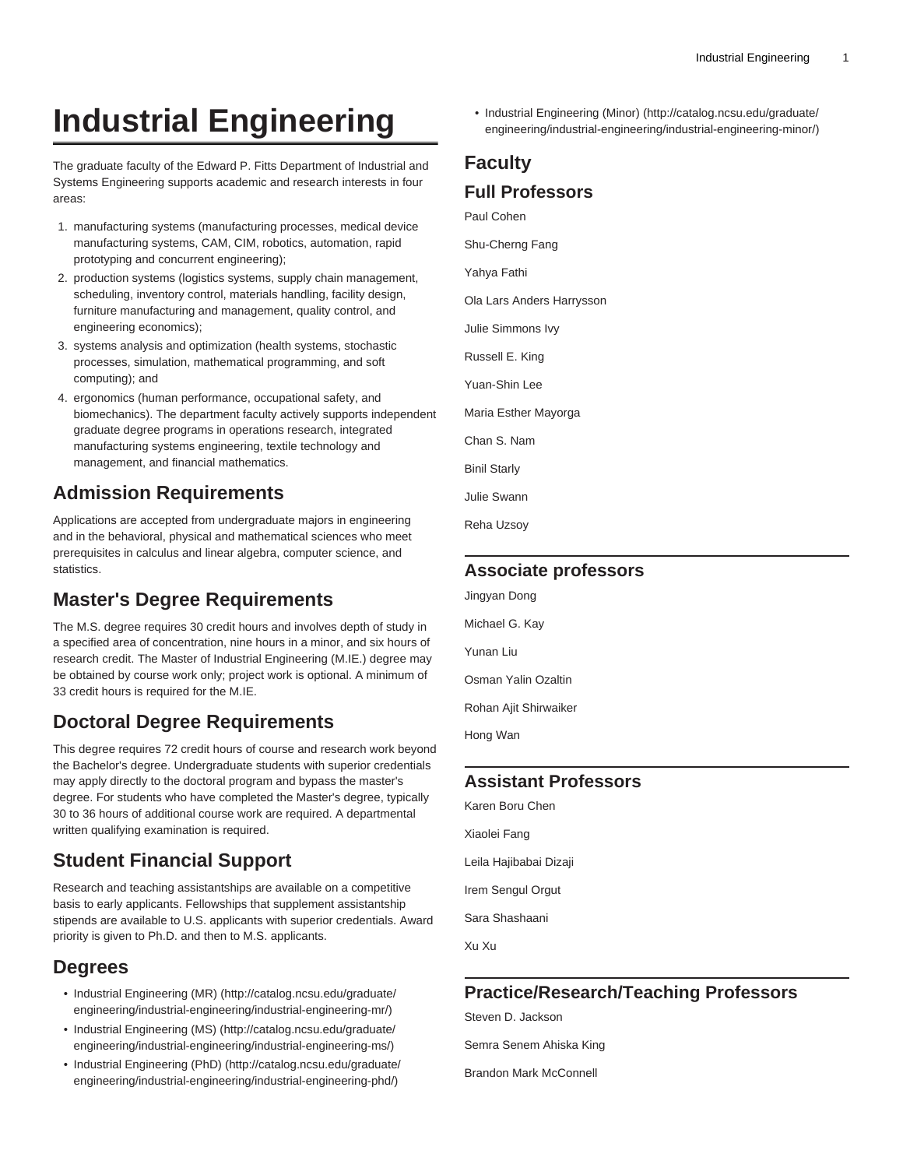# **Industrial Engineering**

The graduate faculty of the Edward P. Fitts Department of Industrial and Systems Engineering supports academic and research interests in four areas:

- 1. manufacturing systems (manufacturing processes, medical device manufacturing systems, CAM, CIM, robotics, automation, rapid prototyping and concurrent engineering);
- 2. production systems (logistics systems, supply chain management, scheduling, inventory control, materials handling, facility design, furniture manufacturing and management, quality control, and engineering economics);
- 3. systems analysis and optimization (health systems, stochastic processes, simulation, mathematical programming, and soft computing); and
- 4. ergonomics (human performance, occupational safety, and biomechanics). The department faculty actively supports independent graduate degree programs in operations research, integrated manufacturing systems engineering, textile technology and management, and financial mathematics.

### **Admission Requirements**

Applications are accepted from undergraduate majors in engineering and in the behavioral, physical and mathematical sciences who meet prerequisites in calculus and linear algebra, computer science, and statistics.

# **Master's Degree Requirements**

The M.S. degree requires 30 credit hours and involves depth of study in a specified area of concentration, nine hours in a minor, and six hours of research credit. The Master of Industrial Engineering (M.IE.) degree may be obtained by course work only; project work is optional. A minimum of 33 credit hours is required for the M.IE.

# **Doctoral Degree Requirements**

This degree requires 72 credit hours of course and research work beyond the Bachelor's degree. Undergraduate students with superior credentials may apply directly to the doctoral program and bypass the master's degree. For students who have completed the Master's degree, typically 30 to 36 hours of additional course work are required. A departmental written qualifying examination is required.

# **Student Financial Support**

Research and teaching assistantships are available on a competitive basis to early applicants. Fellowships that supplement assistantship stipends are available to U.S. applicants with superior credentials. Award priority is given to Ph.D. and then to M.S. applicants.

### **Degrees**

- [Industrial Engineering \(MR\)](http://catalog.ncsu.edu/graduate/engineering/industrial-engineering/industrial-engineering-mr/) [\(http://catalog.ncsu.edu/graduate/](http://catalog.ncsu.edu/graduate/engineering/industrial-engineering/industrial-engineering-mr/) [engineering/industrial-engineering/industrial-engineering-mr/](http://catalog.ncsu.edu/graduate/engineering/industrial-engineering/industrial-engineering-mr/))
- [Industrial Engineering \(MS\)](http://catalog.ncsu.edu/graduate/engineering/industrial-engineering/industrial-engineering-ms/) ([http://catalog.ncsu.edu/graduate/](http://catalog.ncsu.edu/graduate/engineering/industrial-engineering/industrial-engineering-ms/) [engineering/industrial-engineering/industrial-engineering-ms/\)](http://catalog.ncsu.edu/graduate/engineering/industrial-engineering/industrial-engineering-ms/)
- [Industrial Engineering \(PhD\)](http://catalog.ncsu.edu/graduate/engineering/industrial-engineering/industrial-engineering-phd/) [\(http://catalog.ncsu.edu/graduate/](http://catalog.ncsu.edu/graduate/engineering/industrial-engineering/industrial-engineering-phd/) [engineering/industrial-engineering/industrial-engineering-phd/](http://catalog.ncsu.edu/graduate/engineering/industrial-engineering/industrial-engineering-phd/))

• [Industrial Engineering \(Minor\)](http://catalog.ncsu.edu/graduate/engineering/industrial-engineering/industrial-engineering-minor/) ([http://catalog.ncsu.edu/graduate/](http://catalog.ncsu.edu/graduate/engineering/industrial-engineering/industrial-engineering-minor/) [engineering/industrial-engineering/industrial-engineering-minor/](http://catalog.ncsu.edu/graduate/engineering/industrial-engineering/industrial-engineering-minor/))

# **Faculty**

#### **Full Professors**

Paul Cohen

Shu-Cherng Fang

Yahya Fathi

Ola Lars Anders Harrysson

Julie Simmons Ivy

Russell E. King

Yuan-Shin Lee

Maria Esther Mayorga

Chan S. Nam

Binil Starly

Julie Swann

Reha Uzsoy

### **Associate professors**

Jingyan Dong

Michael G. Kay

Yunan Liu

Osman Yalin Ozaltin

Rohan Ajit Shirwaiker

Hong Wan

### **Assistant Professors**

Karen Boru Chen Xiaolei Fang Leila Hajibabai Dizaji Irem Sengul Orgut Sara Shashaani Xu Xu

### **Practice/Research/Teaching Professors**

Steven D. Jackson

Semra Senem Ahiska King

Brandon Mark McConnell